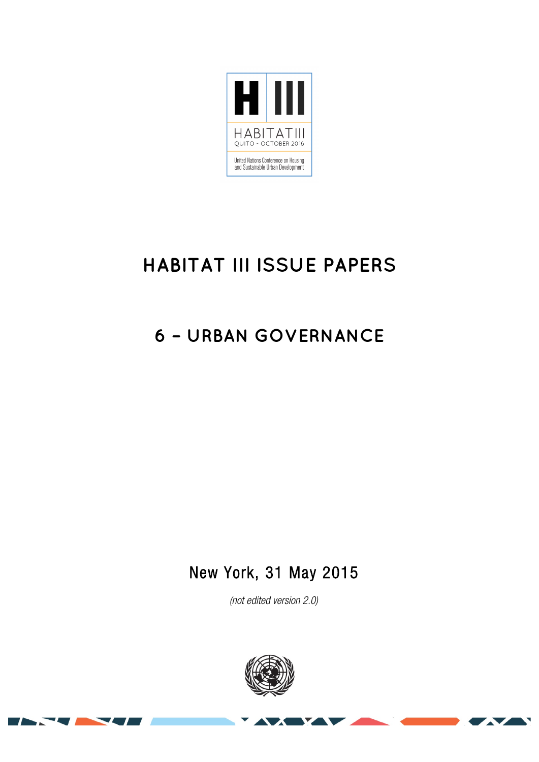

# **HABITAT III ISSUE PAPERS**

## **6 – URBAN GOVERNANCE**

### New York, 31 May 2015

*(not edited version* 2.0*)* 



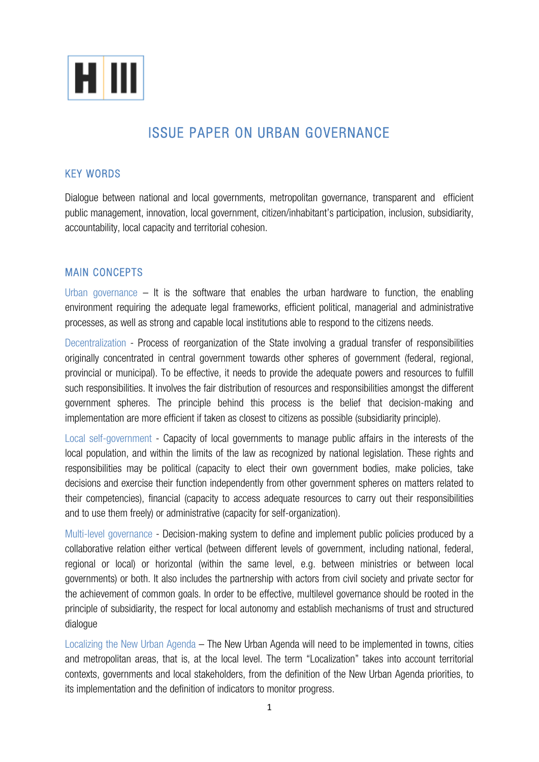

### ISSUE PAPER ON URBAN GOVERNANCE

#### KEY WORDS

Dialogue between national and local governments, metropolitan governance, transparent and efficient public management, innovation, local government, citizen/inhabitant's participation, inclusion, subsidiarity, accountability, local capacity and territorial cohesion.

#### MAIN CONCEPTS

Urban governance  $-$  It is the software that enables the urban hardware to function, the enabling environment requiring the adequate legal frameworks, efficient political, managerial and administrative processes, as well as strong and capable local institutions able to respond to the citizens needs.

Decentralization - Process of reorganization of the State involving a gradual transfer of responsibilities originally concentrated in central government towards other spheres of government (federal, regional, provincial or municipal). To be effective, it needs to provide the adequate powers and resources to fulfill such responsibilities. It involves the fair distribution of resources and responsibilities amongst the different government spheres. The principle behind this process is the belief that decision-making and implementation are more efficient if taken as closest to citizens as possible (subsidiarity principle).

Local self-government - Capacity of local governments to manage public affairs in the interests of the local population, and within the limits of the law as recognized by national legislation. These rights and responsibilities may be political (capacity to elect their own government bodies, make policies, take decisions and exercise their function independently from other government spheres on matters related to their competencies), financial (capacity to access adequate resources to carry out their responsibilities and to use them freely) or administrative (capacity for self-organization).

Multi-level governance - Decision-making system to define and implement public policies produced by a collaborative relation either vertical (between different levels of government, including national, federal, regional or local) or horizontal (within the same level, e.g. between ministries or between local governments) or both. It also includes the partnership with actors from civil society and private sector for the achievement of common goals. In order to be effective, multilevel governance should be rooted in the principle of subsidiarity, the respect for local autonomy and establish mechanisms of trust and structured dialogue

Localizing the New Urban Agenda – The New Urban Agenda will need to be implemented in towns, cities and metropolitan areas, that is, at the local level. The term "Localization" takes into account territorial contexts, governments and local stakeholders, from the definition of the New Urban Agenda priorities, to its implementation and the definition of indicators to monitor progress.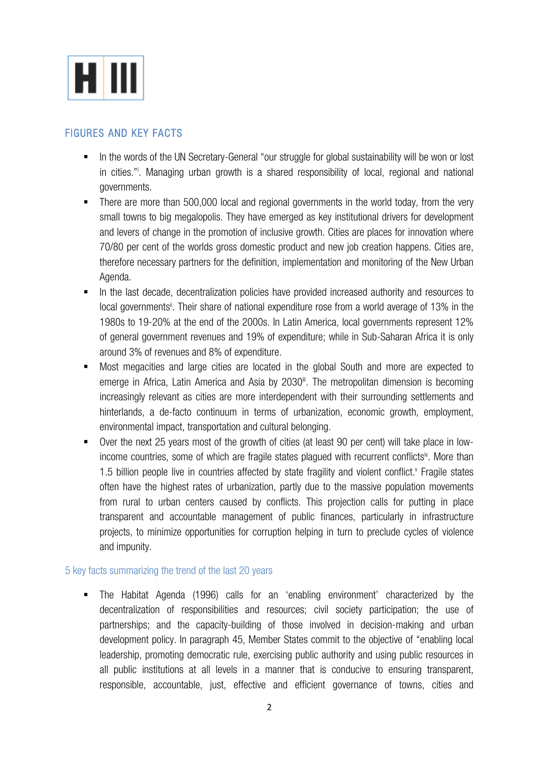

#### FIGURES AND KEY FACTS

- In the words of the UN Secretary-General "our struggle for global sustainability will be won or lost in cities."i . Managing urban growth is a shared responsibility of local, regional and national governments.
- There are more than 500,000 local and regional governments in the world today, from the very small towns to big megalopolis. They have emerged as key institutional drivers for development and levers of change in the promotion of inclusive growth. Cities are places for innovation where 70/80 per cent of the worlds gross domestic product and new job creation happens. Cities are, therefore necessary partners for the definition, implementation and monitoring of the New Urban Agenda.
- In the last decade, decentralization policies have provided increased authority and resources to local governments<sup>ii</sup>. Their share of national expenditure rose from a world average of 13% in the 1980s to 19-20% at the end of the 2000s. In Latin America, local governments represent 12% of general government revenues and 19% of expenditure; while in Sub-Saharan Africa it is only around 3% of revenues and 8% of expenditure.
- § Most megacities and large cities are located in the global South and more are expected to emerge in Africa, Latin America and Asia by 2030<sup>ii</sup>. The metropolitan dimension is becoming increasingly relevant as cities are more interdependent with their surrounding settlements and hinterlands, a de-facto continuum in terms of urbanization, economic growth, employment, environmental impact, transportation and cultural belonging.
- § Over the next 25 years most of the growth of cities (at least 90 per cent) will take place in lowincome countries, some of which are fragile states plagued with recurrent conflicts<sup>iv</sup>. More than 1.5 billion people live in countries affected by state fragility and violent conflict.<sup>v</sup> Fragile states often have the highest rates of urbanization, partly due to the massive population movements from rural to urban centers caused by conflicts. This projection calls for putting in place transparent and accountable management of public finances, particularly in infrastructure projects, to minimize opportunities for corruption helping in turn to preclude cycles of violence and impunity.

#### 5 key facts summarizing the trend of the last 20 years

§ The Habitat Agenda (1996) calls for an 'enabling environment' characterized by the decentralization of responsibilities and resources; civil society participation; the use of partnerships; and the capacity-building of those involved in decision-making and urban development policy. In paragraph 45, Member States commit to the objective of "enabling local leadership, promoting democratic rule, exercising public authority and using public resources in all public institutions at all levels in a manner that is conducive to ensuring transparent, responsible, accountable, just, effective and efficient governance of towns, cities and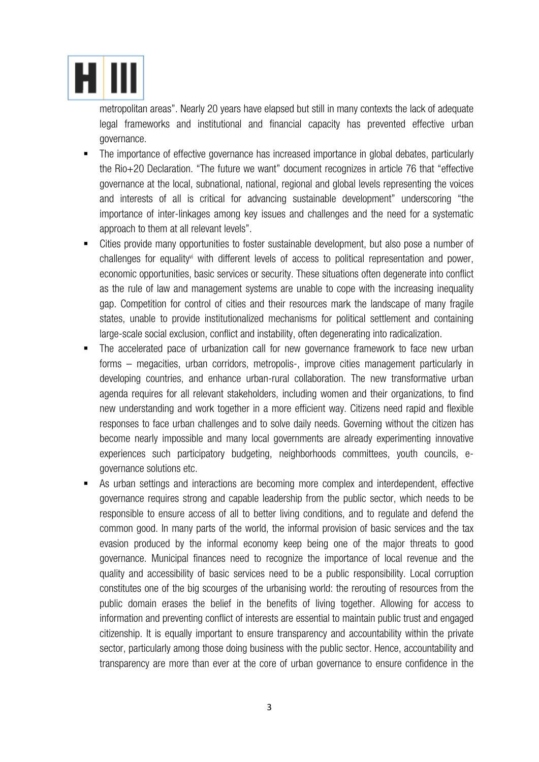

metropolitan areas". Nearly 20 years have elapsed but still in many contexts the lack of adequate legal frameworks and institutional and financial capacity has prevented effective urban governance.

- The importance of effective governance has increased importance in global debates, particularly the Rio+20 Declaration. "The future we want" document recognizes in article 76 that "effective governance at the local, subnational, national, regional and global levels representing the voices and interests of all is critical for advancing sustainable development" underscoring "the importance of inter-linkages among key issues and challenges and the need for a systematic approach to them at all relevant levels".
- § Cities provide many opportunities to foster sustainable development, but also pose a number of challenges for equalityvi with different levels of access to political representation and power, economic opportunities, basic services or security. These situations often degenerate into conflict as the rule of law and management systems are unable to cope with the increasing inequality gap. Competition for control of cities and their resources mark the landscape of many fragile states, unable to provide institutionalized mechanisms for political settlement and containing large-scale social exclusion, conflict and instability, often degenerating into radicalization.
- The accelerated pace of urbanization call for new governance framework to face new urban forms – megacities, urban corridors, metropolis-, improve cities management particularly in developing countries, and enhance urban-rural collaboration. The new transformative urban agenda requires for all relevant stakeholders, including women and their organizations, to find new understanding and work together in a more efficient way. Citizens need rapid and flexible responses to face urban challenges and to solve daily needs. Governing without the citizen has become nearly impossible and many local governments are already experimenting innovative experiences such participatory budgeting, neighborhoods committees, youth councils, egovernance solutions etc.
- § As urban settings and interactions are becoming more complex and interdependent, effective governance requires strong and capable leadership from the public sector, which needs to be responsible to ensure access of all to better living conditions, and to regulate and defend the common good. In many parts of the world, the informal provision of basic services and the tax evasion produced by the informal economy keep being one of the major threats to good governance. Municipal finances need to recognize the importance of local revenue and the quality and accessibility of basic services need to be a public responsibility. Local corruption constitutes one of the big scourges of the urbanising world: the rerouting of resources from the public domain erases the belief in the benefits of living together. Allowing for access to information and preventing conflict of interests are essential to maintain public trust and engaged citizenship. It is equally important to ensure transparency and accountability within the private sector, particularly among those doing business with the public sector. Hence, accountability and transparency are more than ever at the core of urban governance to ensure confidence in the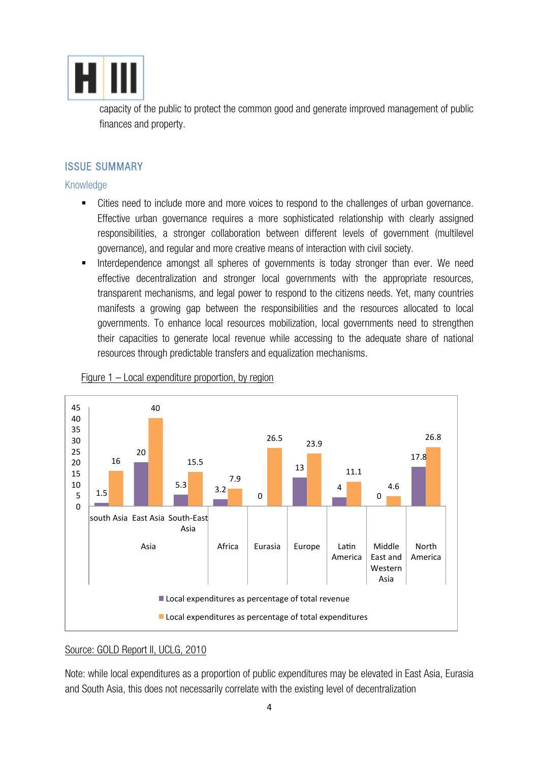

capacity of the public to protect the common good and generate improved management of public finances and property.

#### ISSUE SUMMARY

Knowledge

- Cities need to include more and more voices to respond to the challenges of urban governance. Effective urban governance requires a more sophisticated relationship with clearly assigned responsibilities, a stronger collaboration between different levels of government (multilevel governance), and regular and more creative means of interaction with civil society.
- Interdependence amongst all spheres of governments is today stronger than ever. We need effective decentralization and stronger local governments with the appropriate resources, transparent mechanisms, and legal power to respond to the citizens needs. Yet, many countries manifests a growing gap between the responsibilities and the resources allocated to local governments. To enhance local resources mobilization, local governments need to strengthen their capacities to generate local revenue while accessing to the adequate share of national resources through predictable transfers and equalization mechanisms.



#### Figure 1 – Local expenditure proportion, by region

#### Source: GOLD Report II, UCLG, 2010

Note: while local expenditures as a proportion of public expenditures may be elevated in East Asia, Eurasia and South Asia, this does not necessarily correlate with the existing level of decentralization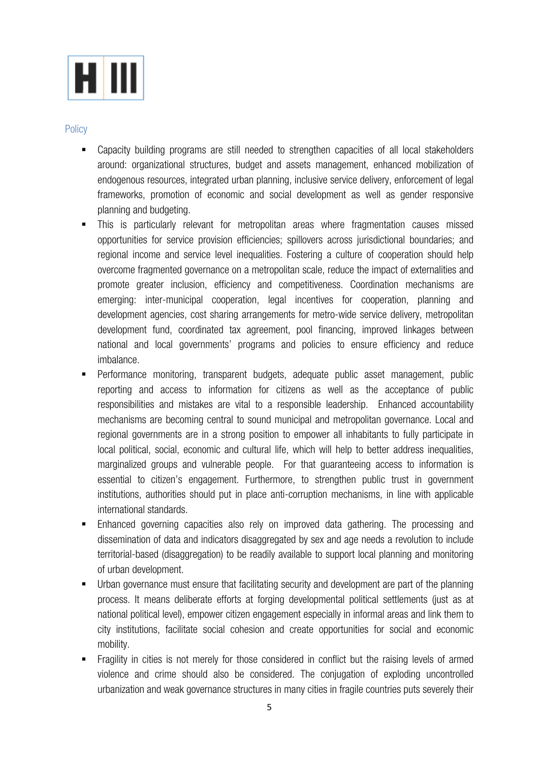

#### **Policy**

- § Capacity building programs are still needed to strengthen capacities of all local stakeholders around: organizational structures, budget and assets management, enhanced mobilization of endogenous resources, integrated urban planning, inclusive service delivery, enforcement of legal frameworks, promotion of economic and social development as well as gender responsive planning and budgeting.
- § This is particularly relevant for metropolitan areas where fragmentation causes missed opportunities for service provision efficiencies; spillovers across jurisdictional boundaries; and regional income and service level inequalities. Fostering a culture of cooperation should help overcome fragmented governance on a metropolitan scale, reduce the impact of externalities and promote greater inclusion, efficiency and competitiveness. Coordination mechanisms are emerging: inter-municipal cooperation, legal incentives for cooperation, planning and development agencies, cost sharing arrangements for metro-wide service delivery, metropolitan development fund, coordinated tax agreement, pool financing, improved linkages between national and local governments' programs and policies to ensure efficiency and reduce imbalance.
- § Performance monitoring, transparent budgets, adequate public asset management, public reporting and access to information for citizens as well as the acceptance of public responsibilities and mistakes are vital to a responsible leadership. Enhanced accountability mechanisms are becoming central to sound municipal and metropolitan governance. Local and regional governments are in a strong position to empower all inhabitants to fully participate in local political, social, economic and cultural life, which will help to better address inequalities, marginalized groups and vulnerable people. For that guaranteeing access to information is essential to citizen's engagement. Furthermore, to strengthen public trust in government institutions, authorities should put in place anti-corruption mechanisms, in line with applicable international standards.
- § Enhanced governing capacities also rely on improved data gathering. The processing and dissemination of data and indicators disaggregated by sex and age needs a revolution to include territorial-based (disaggregation) to be readily available to support local planning and monitoring of urban development.
- § Urban governance must ensure that facilitating security and development are part of the planning process. It means deliberate efforts at forging developmental political settlements (just as at national political level), empower citizen engagement especially in informal areas and link them to city institutions, facilitate social cohesion and create opportunities for social and economic mobility.
- § Fragility in cities is not merely for those considered in conflict but the raising levels of armed violence and crime should also be considered. The conjugation of exploding uncontrolled urbanization and weak governance structures in many cities in fragile countries puts severely their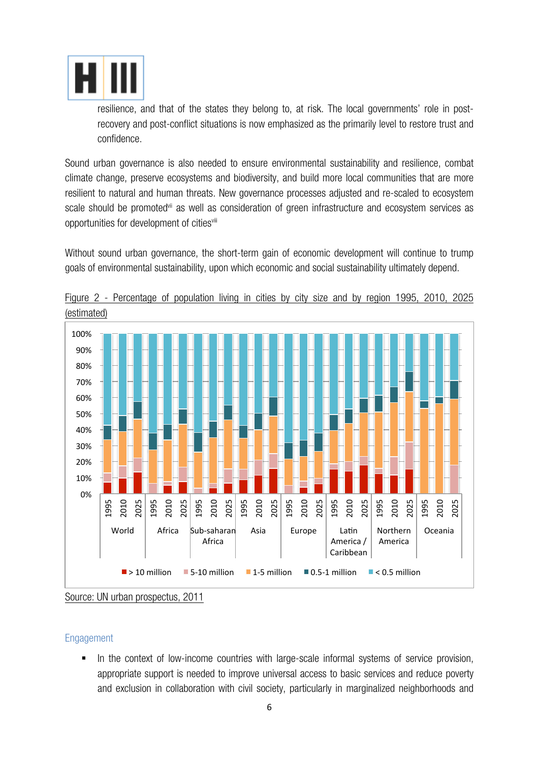

resilience, and that of the states they belong to, at risk. The local governments' role in postrecovery and post-conflict situations is now emphasized as the primarily level to restore trust and confidence.

Sound urban governance is also needed to ensure environmental sustainability and resilience, combat climate change, preserve ecosystems and biodiversity, and build more local communities that are more resilient to natural and human threats. New governance processes adjusted and re-scaled to ecosystem scale should be promoted<sup>vii</sup> as well as consideration of green infrastructure and ecosystem services as opportunities for development of citiesvili

Without sound urban governance, the short-term gain of economic development will continue to trump goals of environmental sustainability, upon which economic and social sustainability ultimately depend.



Figure 2 - Percentage of population living in cities by city size and by region 1995, 2010, 2025

Source: UN urban prospectus, 2011

#### Engagement

In the context of low-income countries with large-scale informal systems of service provision, appropriate support is needed to improve universal access to basic services and reduce poverty and exclusion in collaboration with civil society, particularly in marginalized neighborhoods and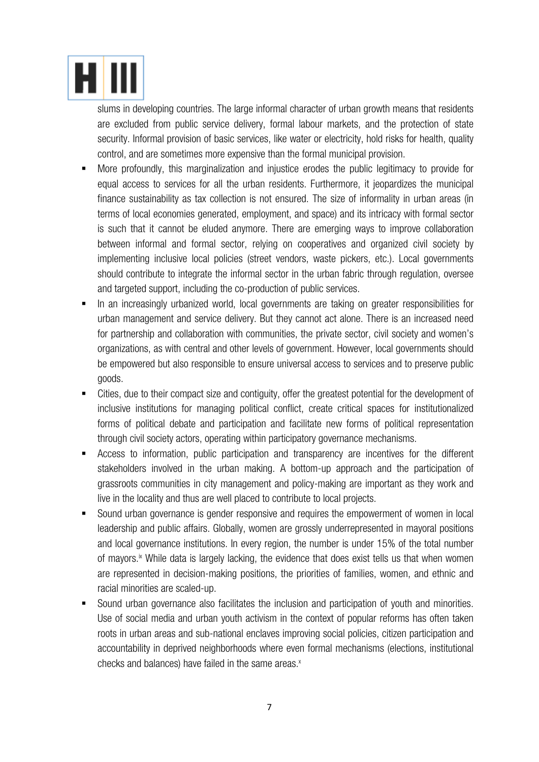

slums in developing countries. The large informal character of urban growth means that residents are excluded from public service delivery, formal labour markets, and the protection of state security. Informal provision of basic services, like water or electricity, hold risks for health, quality control, and are sometimes more expensive than the formal municipal provision.

- More profoundly, this marginalization and injustice erodes the public legitimacy to provide for equal access to services for all the urban residents. Furthermore, it jeopardizes the municipal finance sustainability as tax collection is not ensured. The size of informality in urban areas (in terms of local economies generated, employment, and space) and its intricacy with formal sector is such that it cannot be eluded anymore. There are emerging ways to improve collaboration between informal and formal sector, relying on cooperatives and organized civil society by implementing inclusive local policies (street vendors, waste pickers, etc.). Local governments should contribute to integrate the informal sector in the urban fabric through regulation, oversee and targeted support, including the co-production of public services.
- § In an increasingly urbanized world, local governments are taking on greater responsibilities for urban management and service delivery. But they cannot act alone. There is an increased need for partnership and collaboration with communities, the private sector, civil society and women's organizations, as with central and other levels of government. However, local governments should be empowered but also responsible to ensure universal access to services and to preserve public goods.
- § Cities, due to their compact size and contiguity, offer the greatest potential for the development of inclusive institutions for managing political conflict, create critical spaces for institutionalized forms of political debate and participation and facilitate new forms of political representation through civil society actors, operating within participatory governance mechanisms.
- § Access to information, public participation and transparency are incentives for the different stakeholders involved in the urban making. A bottom-up approach and the participation of grassroots communities in city management and policy-making are important as they work and live in the locality and thus are well placed to contribute to local projects.
- Sound urban governance is gender responsive and requires the empowerment of women in local leadership and public affairs. Globally, women are grossly underrepresented in mayoral positions and local governance institutions. In every region, the number is under 15% of the total number of mayors.<sup>ix</sup> While data is largely lacking, the evidence that does exist tells us that when women are represented in decision-making positions, the priorities of families, women, and ethnic and racial minorities are scaled-up.
- § Sound urban governance also facilitates the inclusion and participation of youth and minorities. Use of social media and urban youth activism in the context of popular reforms has often taken roots in urban areas and sub-national enclaves improving social policies, citizen participation and accountability in deprived neighborhoods where even formal mechanisms (elections, institutional checks and balances) have failed in the same areas. $x$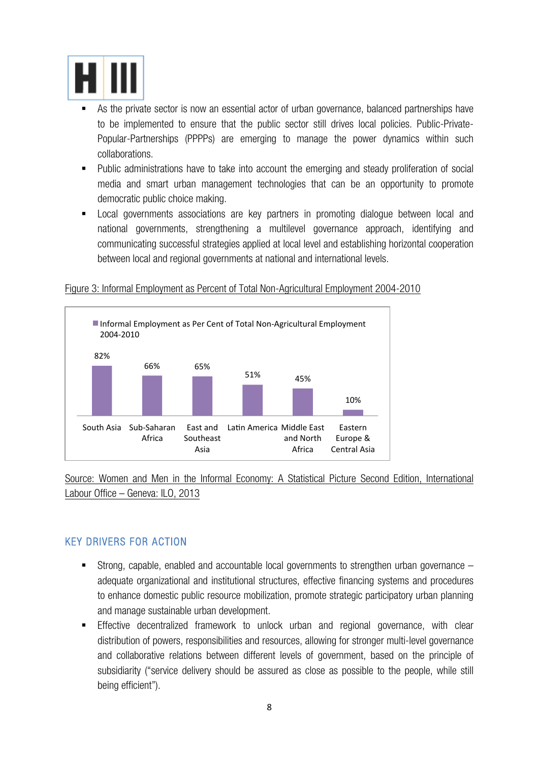

- As the private sector is now an essential actor of urban governance, balanced partnerships have to be implemented to ensure that the public sector still drives local policies. Public-Private-Popular-Partnerships (PPPPs) are emerging to manage the power dynamics within such collaborations.
- Public administrations have to take into account the emerging and steady proliferation of social media and smart urban management technologies that can be an opportunity to promote democratic public choice making.
- Local governments associations are key partners in promoting dialogue between local and national governments, strengthening a multilevel governance approach, identifying and communicating successful strategies applied at local level and establishing horizontal cooperation between local and regional governments at national and international levels.

#### Figure 3: Informal Employment as Percent of Total Non-Agricultural Employment 2004-2010



Source: Women and Men in the Informal Economy: A Statistical Picture Second Edition, International Labour Office – Geneva: ILO, 2013

#### KEY DRIVERS FOR ACTION

- $\blacksquare$  Strong, capable, enabled and accountable local governments to strengthen urban governance  $$ adequate organizational and institutional structures, effective financing systems and procedures to enhance domestic public resource mobilization, promote strategic participatory urban planning and manage sustainable urban development.
- § Effective decentralized framework to unlock urban and regional governance, with clear distribution of powers, responsibilities and resources, allowing for stronger multi-level governance and collaborative relations between different levels of government, based on the principle of subsidiarity ("service delivery should be assured as close as possible to the people, while still being efficient").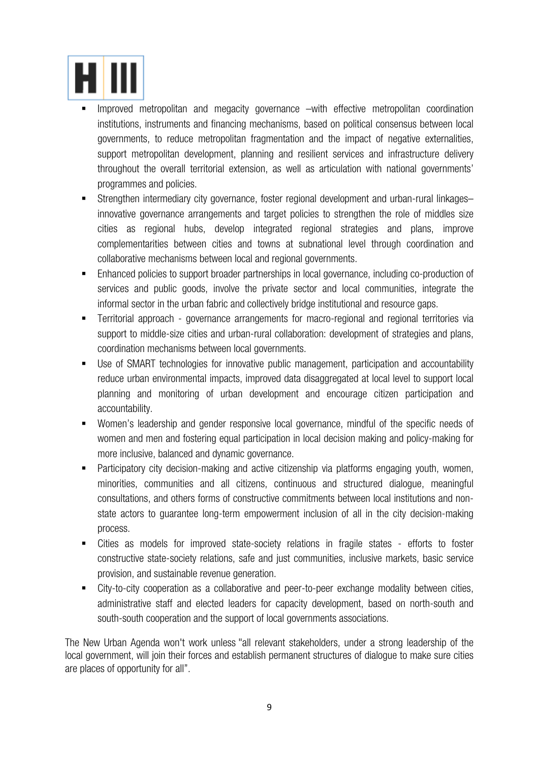

- Improved metropolitan and megacity governance –with effective metropolitan coordination institutions, instruments and financing mechanisms, based on political consensus between local governments, to reduce metropolitan fragmentation and the impact of negative externalities, support metropolitan development, planning and resilient services and infrastructure delivery throughout the overall territorial extension, as well as articulation with national governments' programmes and policies.
- § Strengthen intermediary city governance, foster regional development and urban-rural linkages– innovative governance arrangements and target policies to strengthen the role of middles size cities as regional hubs, develop integrated regional strategies and plans, improve complementarities between cities and towns at subnational level through coordination and collaborative mechanisms between local and regional governments.
- § Enhanced policies to support broader partnerships in local governance, including co-production of services and public goods, involve the private sector and local communities, integrate the informal sector in the urban fabric and collectively bridge institutional and resource gaps.
- § Territorial approach governance arrangements for macro-regional and regional territories via support to middle-size cities and urban-rural collaboration: development of strategies and plans, coordination mechanisms between local governments.
- Use of SMART technologies for innovative public management, participation and accountability reduce urban environmental impacts, improved data disaggregated at local level to support local planning and monitoring of urban development and encourage citizen participation and accountability.
- § Women's leadership and gender responsive local governance, mindful of the specific needs of women and men and fostering equal participation in local decision making and policy-making for more inclusive, balanced and dynamic governance.
- Participatory city decision-making and active citizenship via platforms engaging youth, women, minorities, communities and all citizens, continuous and structured dialogue, meaningful consultations, and others forms of constructive commitments between local institutions and nonstate actors to guarantee long-term empowerment inclusion of all in the city decision-making process.
- § Cities as models for improved state-society relations in fragile states efforts to foster constructive state-society relations, safe and just communities, inclusive markets, basic service provision, and sustainable revenue generation.
- City-to-city cooperation as a collaborative and peer-to-peer exchange modality between cities, administrative staff and elected leaders for capacity development, based on north-south and south-south cooperation and the support of local governments associations.

The New Urban Agenda won't work unless "all relevant stakeholders, under a strong leadership of the local government, will join their forces and establish permanent structures of dialogue to make sure cities are places of opportunity for all".